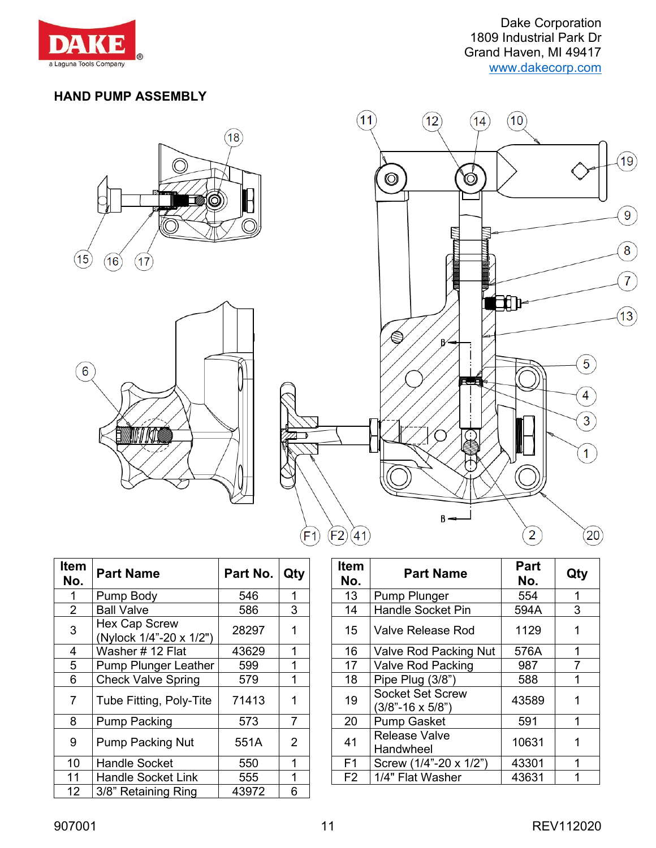

Dake Corporation 1809 Industrial Park Dr Grand Haven, MI 49417 [www.dakecorp.com](http://www.dakecorp.com/)

### **HAND PUMP ASSEMBLY**







| Item<br>No.    | <b>Part Name</b>                                | Part No. | Qty            | <b>Item</b><br>No. | <b>Part Name</b>                                     | Part<br>No. | Qt |
|----------------|-------------------------------------------------|----------|----------------|--------------------|------------------------------------------------------|-------------|----|
|                | Pump Body                                       | 546      |                | 13                 | Pump Plunger                                         | 554         | 1  |
| $\overline{2}$ | <b>Ball Valve</b>                               | 586      | 3              | 14                 | <b>Handle Socket Pin</b>                             | 594A        | 3  |
| 3              | <b>Hex Cap Screw</b><br>(Nylock 1/4"-20 x 1/2") | 28297    | 1              | 15                 | <b>Valve Release Rod</b>                             | 1129        | 1  |
| 4              | Washer #12 Flat                                 | 43629    | 1              | 16                 | Valve Rod Packing Nut                                | 576A        |    |
| 5              | <b>Pump Plunger Leather</b>                     | 599      |                | 17                 | <b>Valve Rod Packing</b>                             | 987         | 7  |
| 6              | <b>Check Valve Spring</b>                       | 579      |                | 18                 | Pipe Plug (3/8")                                     | 588         |    |
| 7              | Tube Fitting, Poly-Tite                         | 71413    | 1              | 19                 | <b>Socket Set Screw</b><br>$(3/8" - 16 \times 5/8")$ | 43589       | 1  |
| 8              | <b>Pump Packing</b>                             | 573      | $\overline{7}$ | 20                 | <b>Pump Gasket</b>                                   | 591         | 1  |
| 9              | <b>Pump Packing Nut</b>                         | 551A     | $\overline{2}$ | 41                 | <b>Release Valve</b><br>Handwheel                    | 10631       | 1  |
| 10             | <b>Handle Socket</b>                            | 550      | 1              | F <sub>1</sub>     | Screw (1/4"-20 x 1/2")                               | 43301       | 1  |
| 11             | <b>Handle Socket Link</b>                       | 555      | 1              | F <sub>2</sub>     | 1/4" Flat Washer                                     | 43631       |    |
| 12             | 3/8" Retaining Ring                             | 43972    | 6              |                    |                                                      |             |    |

| em<br>lo.      | <b>Part Name</b>                         | Part No. | Qty            | <b>Item</b><br>No. | <b>Part Name</b>                                     | Part<br>No. | Qty |
|----------------|------------------------------------------|----------|----------------|--------------------|------------------------------------------------------|-------------|-----|
| 1              | Pump Body                                | 546      |                | 13                 | Pump Plunger                                         | 554         |     |
| $\overline{2}$ | <b>Ball Valve</b>                        | 586      | 3              | 14                 | <b>Handle Socket Pin</b>                             | 594A        | 3   |
| 3              | Hex Cap Screw<br>(Nylock 1/4"-20 x 1/2") | 28297    | 1              | 15                 | <b>Valve Release Rod</b>                             | 1129        |     |
| 4              | Washer #12 Flat                          | 43629    | 1              | 16                 | Valve Rod Packing Nut                                | 576A        |     |
| $\overline{5}$ | <b>Pump Plunger Leather</b>              | 599      | 1              | 17                 | Valve Rod Packing                                    | 987         |     |
| 6              | <b>Check Valve Spring</b>                | 579      | 1              | 18                 | Pipe Plug (3/8")                                     | 588         |     |
| $\overline{7}$ | Tube Fitting, Poly-Tite                  | 71413    | 1              | 19                 | <b>Socket Set Screw</b><br>$(3/8" - 16 \times 5/8")$ | 43589       |     |
| 8              | <b>Pump Packing</b>                      | 573      | 7              | 20                 | <b>Pump Gasket</b>                                   | 591         |     |
| 9              | <b>Pump Packing Nut</b>                  | 551A     | $\overline{2}$ | 41                 | <b>Release Valve</b><br>Handwheel                    | 10631       |     |
| 10             | <b>Handle Socket</b>                     | 550      | 1              | F <sub>1</sub>     | Screw (1/4"-20 x 1/2")                               | 43301       |     |
| l 1            | <b>Handle Socket Link</b>                | 555      |                | F <sub>2</sub>     | 1/4" Flat Washer                                     | 43631       |     |
|                |                                          |          |                |                    |                                                      |             |     |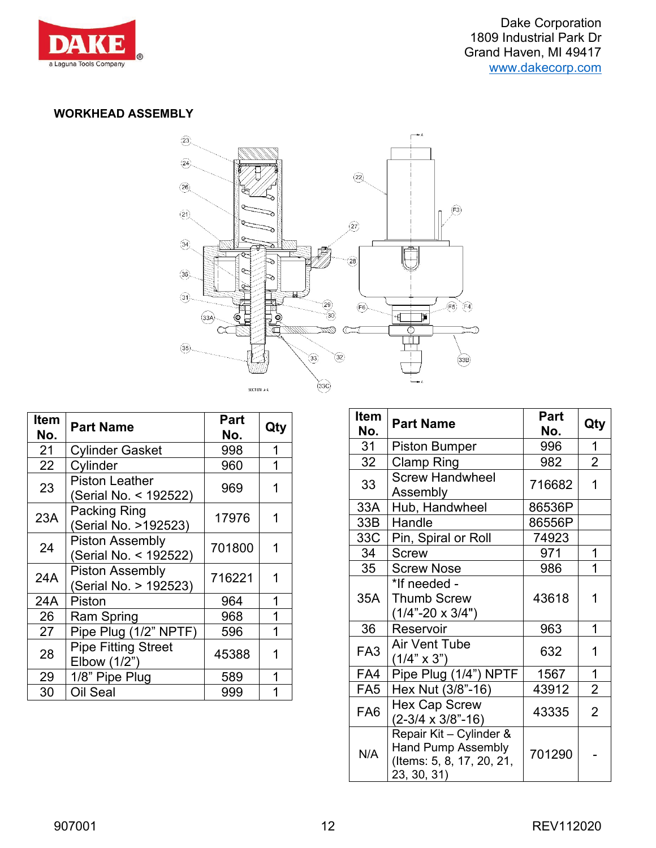

#### **WORKHEAD ASSEMBLY**



| <b>Item</b><br>No. | <b>Part Name</b>                                | Part<br>No. | Qty |
|--------------------|-------------------------------------------------|-------------|-----|
| 21                 | <b>Cylinder Gasket</b>                          | 998         | 1   |
| 22                 | Cylinder                                        | 960         | 1   |
| 23                 | <b>Piston Leather</b><br>(Serial No. < 192522)  | 969         | 1   |
| 23A                | Packing Ring<br>(Serial No. >192523)            | 17976       | 1   |
| 24                 | <b>Piston Assembly</b><br>(Serial No. < 192522) | 701800      | 1   |
| 24A                | <b>Piston Assembly</b><br>(Serial No. > 192523) | 716221      | 1   |
| 24A                | Piston                                          | 964         | 1   |
| 26                 | Ram Spring                                      | 968         | 1   |
| 27                 | Pipe Plug (1/2" NPTF)                           | 596         | 1   |
| 28                 | <b>Pipe Fitting Street</b><br>Elbow (1/2")      | 45388       | 1   |
| 29                 | 1/8" Pipe Plug                                  | 589         | 1   |
| 30                 | Oil Seal                                        | 999         | 1   |

| <b>Item</b><br>No. | <b>Part Name</b>                                                                                 | Part<br>No. | Qty            |
|--------------------|--------------------------------------------------------------------------------------------------|-------------|----------------|
| 31                 | <b>Piston Bumper</b>                                                                             | 996         | 1              |
| 32                 | Clamp Ring                                                                                       | 982         | $\overline{2}$ |
| 33                 | <b>Screw Handwheel</b><br>Assembly                                                               | 716682      | 1              |
| 33A                | Hub, Handwheel                                                                                   | 86536P      |                |
| 33B                | Handle                                                                                           | 86556P      |                |
| 33C                | Pin, Spiral or Roll                                                                              | 74923       |                |
| 34                 | <b>Screw</b>                                                                                     | 971         | 1              |
| 35                 | <b>Screw Nose</b>                                                                                | 986         | 1              |
| 35A                | *If needed -<br><b>Thumb Screw</b><br>$(1/4$ "-20 x 3/4")                                        | 43618       |                |
| 36                 | Reservoir                                                                                        | 963         | 1              |
| FA <sub>3</sub>    | <b>Air Vent Tube</b><br>$(1/4" \times 3")$                                                       | 632         | 1              |
| FA4                | Pipe Plug (1/4") NPTF                                                                            | 1567        | 1              |
| FA <sub>5</sub>    | Hex Nut (3/8"-16)                                                                                | 43912       | $\overline{2}$ |
| FA <sub>6</sub>    | <b>Hex Cap Screw</b><br>$(2-3/4 \times 3/8" - 16)$                                               | 43335       | 2              |
| N/A                | Repair Kit - Cylinder &<br><b>Hand Pump Assembly</b><br>(Items: 5, 8, 17, 20, 21,<br>23, 30, 31) | 701290      |                |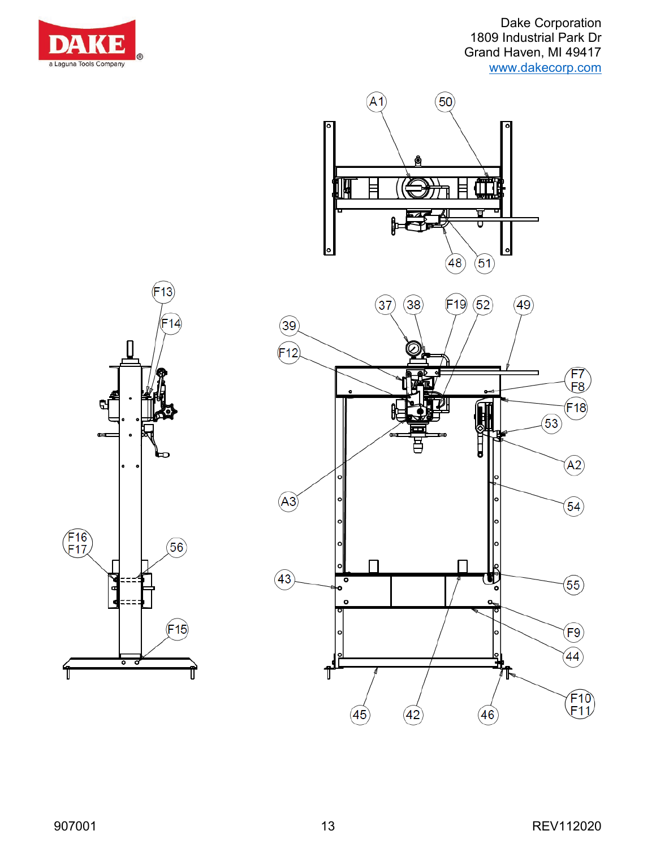



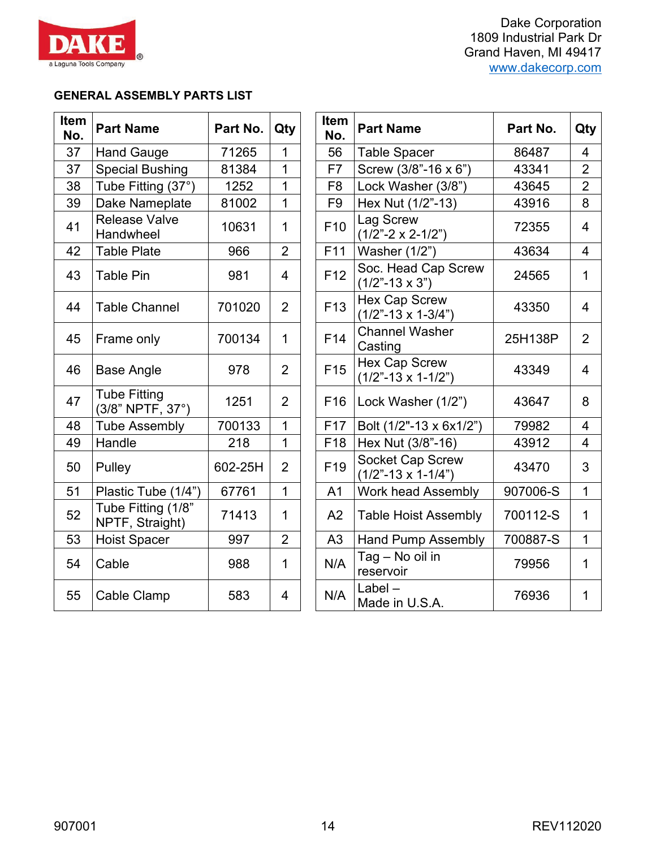

Dake Corporation 1809 Industrial Park Dr Grand Haven, MI 49417 [www.dakecorp.com](http://www.dakecorp.com/)

#### **GENERAL ASSEMBLY PARTS LIST**

| Item<br>No. | <b>Part Name</b>                        | Part No. | Qty            | <b>Item</b><br>No. | <b>Part Name</b>                                         | Part No. | Qty                     |
|-------------|-----------------------------------------|----------|----------------|--------------------|----------------------------------------------------------|----------|-------------------------|
| 37          | <b>Hand Gauge</b>                       | 71265    | 1              | 56                 | <b>Table Spacer</b>                                      | 86487    | 4                       |
| 37          | <b>Special Bushing</b>                  | 81384    | $\overline{1}$ | F7                 | Screw (3/8"-16 x 6")                                     | 43341    | $\overline{2}$          |
| 38          | Tube Fitting (37°)                      | 1252     | 1              | F <sub>8</sub>     | Lock Washer (3/8")                                       | 43645    | $\overline{2}$          |
| 39          | Dake Nameplate                          | 81002    | $\mathbf{1}$   | F <sub>9</sub>     | Hex Nut (1/2"-13)                                        | 43916    | 8                       |
| 41          | <b>Release Valve</b><br>Handwheel       | 10631    | 1              | F <sub>10</sub>    | Lag Screw<br>$(1/2" - 2 \times 2 - 1/2")$                | 72355    | $\overline{4}$          |
| 42          | <b>Table Plate</b>                      | 966      | $\overline{2}$ | F11                | Washer (1/2")                                            | 43634    | $\overline{4}$          |
| 43          | <b>Table Pin</b>                        | 981      | 4              | F <sub>12</sub>    | Soc. Head Cap Screw<br>$(1/2" - 13 \times 3")$           | 24565    | $\mathbf 1$             |
| 44          | <b>Table Channel</b>                    | 701020   | $\overline{2}$ | F <sub>13</sub>    | <b>Hex Cap Screw</b><br>$(1/2$ "-13 x 1-3/4")            | 43350    | 4                       |
| 45          | Frame only                              | 700134   | $\mathbf{1}$   | F14                | <b>Channel Washer</b><br>Casting                         | 25H138P  | $\overline{2}$          |
| 46          | <b>Base Angle</b>                       | 978      | 2              | F <sub>15</sub>    | <b>Hex Cap Screw</b><br>$(1/2" - 13 \times 1 - 1/2")$    | 43349    | 4                       |
| 47          | <b>Tube Fitting</b><br>(3/8" NPTF, 37°) | 1251     | $\overline{2}$ | F <sub>16</sub>    | Lock Washer (1/2")                                       | 43647    | 8                       |
| 48          | <b>Tube Assembly</b>                    | 700133   | $\overline{1}$ | F17                | Bolt (1/2"-13 x 6x1/2")                                  | 79982    | $\overline{4}$          |
| 49          | Handle                                  | 218      | 1              | F <sub>18</sub>    | Hex Nut (3/8"-16)                                        | 43912    | $\overline{\mathbf{4}}$ |
| 50          | Pulley                                  | 602-25H  | $\overline{2}$ | F <sub>19</sub>    | <b>Socket Cap Screw</b><br>$(1/2" - 13 \times 1 - 1/4")$ | 43470    | 3                       |
| 51          | Plastic Tube (1/4")                     | 67761    | $\mathbf{1}$   | A <sub>1</sub>     | <b>Work head Assembly</b>                                | 907006-S | $\mathbf 1$             |
| 52          | Tube Fitting (1/8"<br>NPTF, Straight)   | 71413    | $\mathbf{1}$   | A2                 | <b>Table Hoist Assembly</b>                              | 700112-S | $\mathbf{1}$            |
| 53          | <b>Hoist Spacer</b>                     | 997      | $\overline{2}$ | A3                 | <b>Hand Pump Assembly</b>                                | 700887-S | $\mathbf 1$             |
| 54          | Cable                                   | 988      | $\mathbf{1}$   | N/A                | Tag - No oil in<br>reservoir                             | 79956    | $\mathbf 1$             |
| 55          | Cable Clamp                             | 583      | $\overline{4}$ | N/A                | $Label -$<br>Made in U.S.A.                              | 76936    | 1                       |